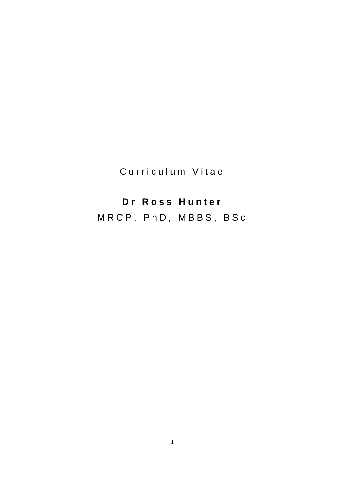Curriculum Vitae

# **D r R o s s H u n t e r**

M R C P , P h D , M B B S , B S c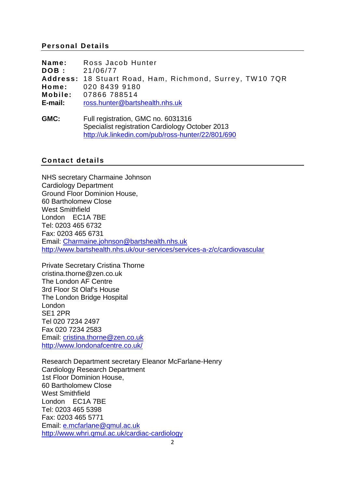**Name:** Ross Jacob Hunter **DOB :** 21/06/77 **Address:** 18 Stuart Road, Ham, Richmond, Surrey, TW 10 7QR **Home:** 020 8439 9180 **Mobile:** 07866 788514 **E-mail:** [ross.hunter@bartshealth.nhs.uk](mailto:ross.hunter@bartshealth.nhs.uk)

**GMC:** Full registration, GMC no. 6031316 Specialist registration Cardiology October 2013 <http://uk.linkedin.com/pub/ross-hunter/22/801/690>

## **Contact details**

NHS secretary Charmaine Johnson Cardiology Department Ground Floor Dominion House, 60 Bartholomew Close West Smithfield London EC1A 7BE Tel: 0203 465 6732 Fax: 0203 465 6731 Email: [Charmaine.johnson@bartshealth.nhs.uk](mailto:Charmaine.johnson@bartshealth.nhs.uk) <http://www.bartshealth.nhs.uk/our-services/services-a-z/c/cardiovascular>

Private Secretary Cristina Thorne cristina.thorne@zen.co.uk The London AF Centre 3rd Floor St Olaf's House The London Bridge Hospital London SE1 2PR Tel 020 7234 2497 Fax 020 7234 2583 Email: [cristina.thorne@zen.co.uk](mailto:cristina.thorne@zen.co.uk) <http://www.londonafcentre.co.uk/>

Research Department secretary Eleanor McFarlane-Henry Cardiology Research Department 1st Floor Dominion House, 60 Bartholomew Close West Smithfield London EC1A 7BE Tel: 0203 465 5398 Fax: 0203 465 5771 Email: [e.mcfarlane@qmul.ac.uk](mailto:e.mcfarlane@qmul.ac.uk) <http://www.whri.qmul.ac.uk/cardiac-cardiology>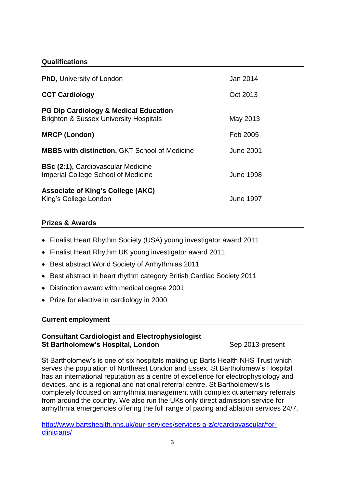#### **Qualifications**

| <b>PhD, University of London</b>                                                                      | Jan 2014         |
|-------------------------------------------------------------------------------------------------------|------------------|
| <b>CCT Cardiology</b>                                                                                 | Oct 2013         |
| <b>PG Dip Cardiology &amp; Medical Education</b><br><b>Brighton &amp; Sussex University Hospitals</b> | May 2013         |
| <b>MRCP (London)</b>                                                                                  | Feb 2005         |
| <b>MBBS with distinction, GKT School of Medicine</b>                                                  | June 2001        |
| <b>BSc (2:1), Cardiovascular Medicine</b><br><b>Imperial College School of Medicine</b>               | <b>June 1998</b> |
| <b>Associate of King's College (AKC)</b><br>King's College London                                     | <b>June 1997</b> |

#### **Prizes & Awards**

- Finalist Heart Rhythm Society (USA) young investigator award 2011
- Finalist Heart Rhythm UK young investigator award 2011
- Best abstract World Society of Arrhythmias 2011
- Best abstract in heart rhythm category British Cardiac Society 2011
- Distinction award with medical degree 2001.
- Prize for elective in cardiology in 2000.

#### **Current employment**

#### **Consultant Cardiologist and Electrophysiologist St Bartholomew's Hospital, London** Sep 2013-present

St Bartholomew's is one of six hospitals making up Barts Health NHS Trust which serves the population of Northeast London and Essex. St Bartholomew's Hospital has an international reputation as a centre of excellence for electrophysiology and devices, and is a regional and national referral centre. St Bartholomew's is completely focused on arrhythmia management with complex quarternary referrals from around the country. We also run the UKs only direct admission service for arrhythmia emergencies offering the full range of pacing and ablation services 24/7.

[http://www.bartshealth.nhs.uk/our-services/services-a-z/c/cardiovascular/for](http://www.bartshealth.nhs.uk/our-services/services-a-z/c/cardiovascular/for-clinicians/)[clinicians/](http://www.bartshealth.nhs.uk/our-services/services-a-z/c/cardiovascular/for-clinicians/)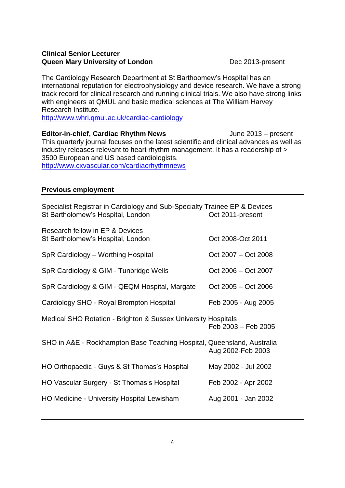#### **Clinical Senior Lecturer Queen Mary University of London** Dec 2013-present

The Cardiology Research Department at St Barthoomew's Hospital has an international reputation for electrophysiology and device research. We have a strong track record for clinical research and running clinical trials. We also have strong links with engineers at QMUL and basic medical sciences at The William Harvey Research Institute.

<http://www.whri.qmul.ac.uk/cardiac-cardiology>

**Editor-in-chief, Cardiac Rhythm News** June 2013 – present This quarterly journal focuses on the latest scientific and clinical advances as well as industry releases relevant to heart rhythm management. It has a readership of > 3500 European and US based cardiologists. <http://www.cxvascular.com/cardiacrhythmnews>

## **Previous employment**

| Specialist Registrar in Cardiology and Sub-Specialty Trainee EP & Devices<br>St Bartholomew's Hospital, London | Oct 2011-present    |
|----------------------------------------------------------------------------------------------------------------|---------------------|
| Research fellow in EP & Devices<br>St Bartholomew's Hospital, London                                           | Oct 2008-Oct 2011   |
| SpR Cardiology - Worthing Hospital                                                                             | Oct 2007 – Oct 2008 |
| SpR Cardiology & GIM - Tunbridge Wells                                                                         | Oct 2006 – Oct 2007 |
| SpR Cardiology & GIM - QEQM Hospital, Margate                                                                  | Oct 2005 - Oct 2006 |
| Cardiology SHO - Royal Brompton Hospital                                                                       | Feb 2005 - Aug 2005 |
| Medical SHO Rotation - Brighton & Sussex University Hospitals                                                  | Feb 2003 - Feb 2005 |
| SHO in A&E - Rockhampton Base Teaching Hospital, Queensland, Australia                                         | Aug 2002-Feb 2003   |
| HO Orthopaedic - Guys & St Thomas's Hospital                                                                   | May 2002 - Jul 2002 |
| HO Vascular Surgery - St Thomas's Hospital                                                                     | Feb 2002 - Apr 2002 |
| HO Medicine - University Hospital Lewisham                                                                     | Aug 2001 - Jan 2002 |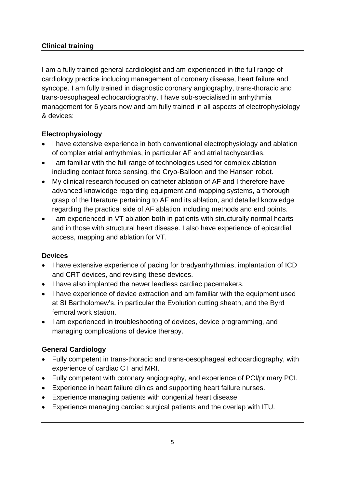# **Clinical training**

I am a fully trained general cardiologist and am experienced in the full range of cardiology practice including management of coronary disease, heart failure and syncope. I am fully trained in diagnostic coronary angiography, trans-thoracic and trans-oesophageal echocardiography. I have sub-specialised in arrhythmia management for 6 years now and am fully trained in all aspects of electrophysiology & devices:

# **Electrophysiology**

- I have extensive experience in both conventional electrophysiology and ablation of complex atrial arrhythmias, in particular AF and atrial tachycardias.
- I am familiar with the full range of technologies used for complex ablation including contact force sensing, the Cryo-Balloon and the Hansen robot.
- My clinical research focused on catheter ablation of AF and I therefore have advanced knowledge regarding equipment and mapping systems, a thorough grasp of the literature pertaining to AF and its ablation, and detailed knowledge regarding the practical side of AF ablation including methods and end points.
- I am experienced in VT ablation both in patients with structurally normal hearts and in those with structural heart disease. I also have experience of epicardial access, mapping and ablation for VT.

# **Devices**

- I have extensive experience of pacing for bradyarrhythmias, implantation of ICD and CRT devices, and revising these devices.
- I have also implanted the newer leadless cardiac pacemakers.
- I have experience of device extraction and am familiar with the equipment used at St Bartholomew's, in particular the Evolution cutting sheath, and the Byrd femoral work station.
- I am experienced in troubleshooting of devices, device programming, and managing complications of device therapy.

# **General Cardiology**

- Fully competent in trans-thoracic and trans-oesophageal echocardiography, with experience of cardiac CT and MRI.
- Fully competent with coronary angiography, and experience of PCI/primary PCI.
- Experience in heart failure clinics and supporting heart failure nurses.
- Experience managing patients with congenital heart disease.
- Experience managing cardiac surgical patients and the overlap with ITU.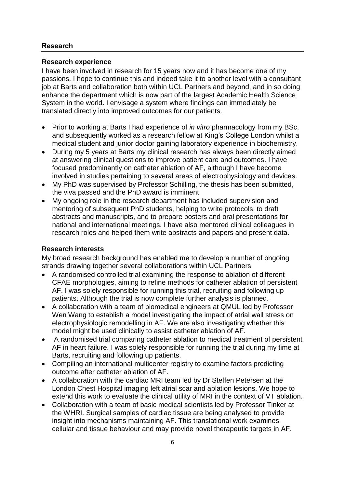## **Research**

#### **Research experience**

I have been involved in research for 15 years now and it has become one of my passions. I hope to continue this and indeed take it to another level with a consultant job at Barts and collaboration both within UCL Partners and beyond, and in so doing enhance the department which is now part of the largest Academic Health Science System in the world. I envisage a system where findings can immediately be translated directly into improved outcomes for our patients.

- Prior to working at Barts I had experience of *in vitro* pharmacology from my BSc, and subsequently worked as a research fellow at King's College London whilst a medical student and junior doctor gaining laboratory experience in biochemistry.
- During my 5 years at Barts my clinical research has always been directly aimed at answering clinical questions to improve patient care and outcomes. I have focused predominantly on catheter ablation of AF, although I have become involved in studies pertaining to several areas of electrophysiology and devices.
- My PhD was supervised by Professor Schilling, the thesis has been submitted, the viva passed and the PhD award is imminent.
- My ongoing role in the research department has included supervision and mentoring of subsequent PhD students, helping to write protocols, to draft abstracts and manuscripts, and to prepare posters and oral presentations for national and international meetings. I have also mentored clinical colleagues in research roles and helped them write abstracts and papers and present data.

#### **Research interests**

My broad research background has enabled me to develop a number of ongoing strands drawing together several collaborations within UCL Partners:

- A randomised controlled trial examining the response to ablation of different CFAE morphologies, aiming to refine methods for catheter ablation of persistent AF. I was solely responsible for running this trial, recruiting and following up patients. Although the trial is now complete further analysis is planned.
- A collaboration with a team of biomedical engineers at QMUL led by Professor Wen Wang to establish a model investigating the impact of atrial wall stress on electrophysiologic remodelling in AF. We are also investigating whether this model might be used clinically to assist catheter ablation of AF.
- A randomised trial comparing catheter ablation to medical treatment of persistent AF in heart failure. I was solely responsible for running the trial during my time at Barts, recruiting and following up patients.
- Compiling an international multicenter registry to examine factors predicting outcome after catheter ablation of AF.
- A collaboration with the cardiac MRI team led by Dr Steffen Petersen at the London Chest Hospital imaging left atrial scar and ablation lesions. We hope to extend this work to evaluate the clinical utility of MRI in the context of VT ablation.
- Collaboration with a team of basic medical scientists led by Professor Tinker at the WHRI. Surgical samples of cardiac tissue are being analysed to provide insight into mechanisms maintaining AF. This translational work examines cellular and tissue behaviour and may provide novel therapeutic targets in AF.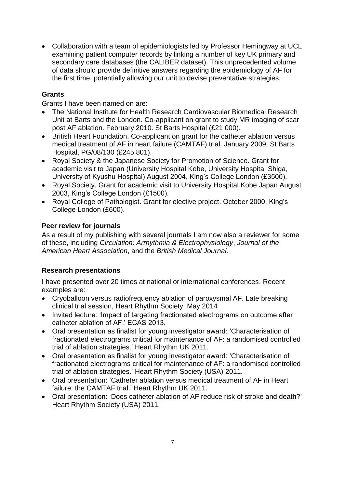Collaboration with a team of epidemiologists led by Professor Hemingway at UCL examining patient computer records by linking a number of key UK primary and secondary care databases (the CALIBER dataset). This unprecedented volume of data should provide definitive answers regarding the epidemiology of AF for the first time, potentially allowing our unit to devise preventative strategies.

## **Grants**

Grants I have been named on are:

- The National Institute for Health Research Cardiovascular Biomedical Research Unit at Barts and the London. Co-applicant on grant to study MR imaging of scar post AF ablation. February 2010. St Barts Hospital (£21 000).
- British Heart Foundation. Co-applicant on grant for the catheter ablation versus medical treatment of AF in heart failure (CAMTAF) trial. January 2009, St Barts Hospital, PG/08/130 (£245 801).
- Royal Society & the Japanese Society for Promotion of Science. Grant for academic visit to Japan (University Hospital Kobe, University Hospital Shiga, University of Kyushu Hospital) August 2004, King's College London (£3500).
- Royal Society. Grant for academic visit to University Hospital Kobe Japan August 2003, King's College London (£1500).
- Royal College of Pathologist. Grant for elective project. October 2000, King's College London (£600).

## **Peer review for journals**

As a result of my publishing with several journals I am now also a reviewer for some of these, including *Circulation: Arrhythmia & Electrophysiology*, *Journal of the American Heart Association*, and the *British Medical Journal*.

# **Research presentations**

I have presented over 20 times at national or international conferences. Recent examples are:

- Cryoballoon versus radiofrequency ablation of paroxysmal AF. Late breaking clinical trial session, Heart Rhythm Society May 2014
- Invited lecture: 'Impact of targeting fractionated electrograms on outcome after catheter ablation of AF.' ECAS 2013.
- Oral presentation as finalist for young investigator award: 'Characterisation of fractionated electrograms critical for maintenance of AF: a randomised controlled trial of ablation strategies.' Heart Rhythm UK 2011.
- Oral presentation as finalist for young investigator award: 'Characterisation of fractionated electrograms critical for maintenance of AF: a randomised controlled trial of ablation strategies.' Heart Rhythm Society (USA) 2011.
- Oral presentation: 'Catheter ablation versus medical treatment of AF in Heart failure: the CAMTAF trial.' Heart Rhythm UK 2011.
- Oral presentation: 'Does catheter ablation of AF reduce risk of stroke and death?' Heart Rhythm Society (USA) 2011.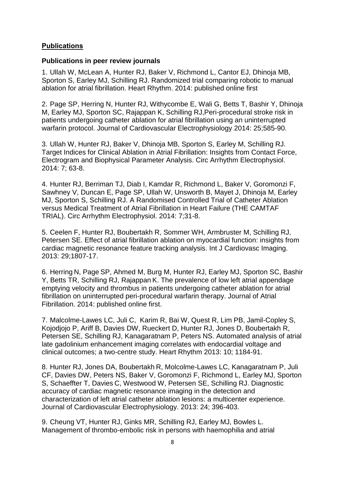#### **Publications**

#### **Publications in peer review journals**

1. Ullah W, McLean A, Hunter RJ, Baker V, Richmond L, Cantor EJ, Dhinoja MB, Sporton S, Earley MJ, Schilling RJ. Randomized trial comparing robotic to manual ablation for atrial fibrillation. Heart Rhythm. 2014: published online first

2. Page SP, Herring N, Hunter RJ, Withycombe E, Wali G, Betts T, Bashir Y, Dhinoja M, Earley MJ, Sporton SC, Rajappan K, Schilling RJ,Peri-procedural stroke risk in patients undergoing catheter ablation for atrial fibrillation using an uninterrupted warfarin protocol. Journal of Cardiovascular Electrophysiology 2014: 25;585-90.

3. Ullah W, Hunter RJ, Baker V, Dhinoja MB, Sporton S, Earley M, Schilling RJ. Target Indices for Clinical Ablation in Atrial Fibrillation: Insights from Contact Force, Electrogram and Biophysical Parameter Analysis. Circ Arrhythm Electrophysiol. 2014: 7; 63-8.

4. Hunter RJ, Berriman TJ, Diab I, Kamdar R, Richmond L, Baker V, Goromonzi F, Sawhney V, Duncan E, Page SP, Ullah W, Unsworth B, Mayet J, Dhinoja M, Earley MJ, Sporton S, Schilling RJ. A Randomised Controlled Trial of Catheter Ablation versus Medical Treatment of Atrial Fibrillation in Heart Failure (THE CAMTAF TRIAL). Circ Arrhythm Electrophysiol. 2014: 7;31-8.

5. Ceelen F, Hunter RJ, Boubertakh R, Sommer WH, Armbruster M, Schilling RJ, Petersen SE. Effect of atrial fibrillation ablation on myocardial function: insights from cardiac magnetic resonance feature tracking analysis. Int J Cardiovasc Imaging. 2013: 29;1807-17.

6. Herring N, Page SP, Ahmed M, Burg M, Hunter RJ, Earley MJ, Sporton SC, Bashir Y, Betts TR, Schilling RJ, Rajappan K. The prevalence of low left atrial appendage emptying velocity and thrombus in patients undergoing catheter ablation for atrial fibrillation on uninterrupted peri-procedural warfarin therapy. Journal of Atrial Fibrillation. 2014: published online first.

7. Malcolme-Lawes LC, Juli C, Karim R, Bai W, Quest R, Lim PB, Jamil-Copley S, Kojodjojo P, Ariff B, Davies DW, Rueckert D, Hunter RJ, Jones D, Boubertakh R, Petersen SE, Schilling RJ, Kanagaratnam P, Peters NS. Automated analysis of atrial late gadolinium enhancement imaging correlates with endocardial voltage and clinical outcomes; a two-centre study. Heart Rhythm 2013: 10; 1184-91.

8. Hunter RJ, Jones DA, Boubertakh R, Molcolme-Lawes LC, Kanagaratnam P, Juli CF, Davies DW, Peters NS, Baker V, Goromonzi F, Richmond L, Earley MJ, Sporton S, Schaeffter T, Davies C, Westwood W, Petersen SE, Schilling RJ. Diagnostic accuracy of cardiac magnetic resonance imaging in the detection and characterization of left atrial catheter ablation lesions: a multicenter experience. Journal of Cardiovascular Electrophysiology. 2013: 24; 396-403.

9. Cheung VT, Hunter RJ, Ginks MR, Schilling RJ, Earley MJ, Bowles L. Management of thrombo-embolic risk in persons with haemophilia and atrial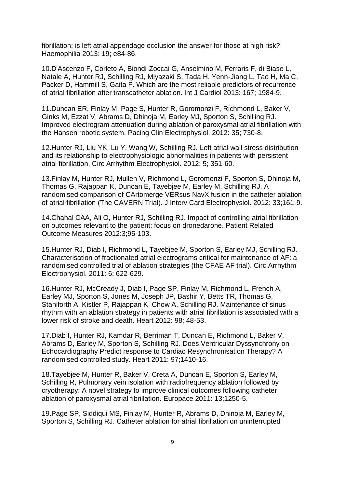fibrillation: is left atrial appendage occlusion the answer for those at high risk? Haemophilia 2013: 19; e84-86.

10.D'Ascenzo F, Corleto A, Biondi-Zoccai G, Anselmino M, Ferraris F, di Biase L, Natale A, Hunter RJ, Schilling RJ, Miyazaki S, Tada H, Yenn-Jiang L, Tao H, Ma C, Packer D, Hammill S, Gaita F. Which are the most reliable predictors of recurrence of atrial fibrillation after transcatheter ablation. Int J Cardiol 2013: 167; 1984-9.

11.Duncan ER, Finlay M, Page S, Hunter R, Goromonzi F, Richmond L, Baker V, Ginks M, Ezzat V, Abrams D, Dhinoja M, Earley MJ, Sporton S, Schilling RJ. Improved electrogram attenuation during ablation of paroxysmal atrial fibrillation with the Hansen robotic system. Pacing Clin Electrophysiol. 2012: 35; 730-8.

12.Hunter RJ, Liu YK, Lu Y, Wang W, Schilling RJ. Left atrial wall stress distribution and its relationship to electrophysiologic abnormalities in patients with persistent atrial fibrillation. Circ Arrhythm Electrophysiol. 2012: 5; 351-60.

13.Finlay M, Hunter RJ, Mullen V, Richmond L, Goromonzi F, Sporton S, Dhinoja M, Thomas G, Rajappan K, Duncan E, Tayebjee M, Earley M, Schilling RJ. A randomised comparison of CArtomerge VERsus NavX fusion in the catheter ablation of atrial fibrillation (The CAVERN Trial). J Interv Card Electrophysiol. 2012: 33;161-9.

14.Chahal CAA, Ali O, Hunter RJ, Schilling RJ. Impact of controlling atrial fibrillation on outcomes relevant to the patient: focus on dronedarone. Patient Related Outcome Measures 2012:3;95-103.

15.Hunter RJ, Diab I, Richmond L, Tayebjee M, Sporton S, Earley MJ, Schilling RJ. Characterisation of fractionated atrial electrograms critical for maintenance of AF: a randomised controlled trial of ablation strategies (the CFAE AF trial). Circ Arrhythm Electrophysiol. 2011: 6; 622-629.

16.Hunter RJ, McCready J, Diab I, Page SP, Finlay M, Richmond L, French A, Earley MJ, Sporton S, Jones M, Joseph JP, Bashir Y, Betts TR, Thomas G, Staniforth A, Kistler P, Rajappan K, Chow A, Schilling RJ. Maintenance of sinus rhythm with an ablation strategy in patients with atrial fibrillation is associated with a lower risk of stroke and death. Heart 2012: 98; 48-53.

17.Diab I, Hunter RJ, Kamdar R, Berriman T, Duncan E, Richmond L, Baker V, Abrams D, Earley M, Sporton S, Schilling RJ. Does Ventricular Dyssynchrony on Echocardiography Predict response to Cardiac Resynchronisation Therapy? A randomised controlled study. Heart 2011: 97;1410-16.

18.Tayebjee M, Hunter R, Baker V, Creta A, Duncan E, Sporton S, Earley M, Schilling R, Pulmonary vein isolation with radiofrequency ablation followed by cryotherapy: A novel strategy to improve clinical outcomes following catheter ablation of paroxysmal atrial fibrillation. Europace 2011: 13;1250-5.

19.Page SP, Siddiqui MS, Finlay M, Hunter R, Abrams D, Dhinoja M, Earley M, Sporton S, Schilling RJ. Catheter ablation for atrial fibrillation on uninterrupted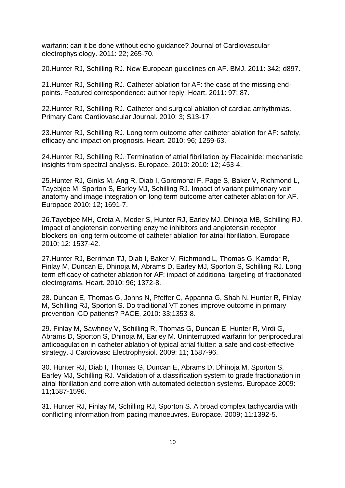warfarin: can it be done without echo guidance? Journal of Cardiovascular electrophysiology. 2011: 22; 265-70.

20.Hunter RJ, Schilling RJ. New European guidelines on AF. BMJ. 2011: 342; d897.

21.Hunter RJ, Schilling RJ. Catheter ablation for AF: the case of the missing endpoints. Featured correspondence: author reply. Heart. 2011: 97; 87.

22.Hunter RJ, Schilling RJ. Catheter and surgical ablation of cardiac arrhythmias. Primary Care Cardiovascular Journal. 2010: 3; S13-17.

23.Hunter RJ, Schilling RJ. Long term outcome after catheter ablation for AF: safety, efficacy and impact on prognosis. Heart. 2010: 96; 1259-63.

24.Hunter RJ, Schilling RJ. Termination of atrial fibrillation by Flecainide: mechanistic insights from spectral analysis. Europace. 2010: 2010: 12; 453-4.

25.Hunter RJ, Ginks M, Ang R, Diab I, Goromonzi F, Page S, Baker V, Richmond L, Tayebjee M, Sporton S, Earley MJ, Schilling RJ. Impact of variant pulmonary vein anatomy and image integration on long term outcome after catheter ablation for AF. Europace 2010: 12; 1691-7.

26.Tayebjee MH, Creta A, Moder S, Hunter RJ, Earley MJ, Dhinoja MB, Schilling RJ. Impact of angiotensin converting enzyme inhibitors and angiotensin receptor blockers on long term outcome of catheter ablation for atrial fibrillation. Europace 2010: 12: 1537-42.

27.Hunter RJ, Berriman TJ, Diab I, Baker V, Richmond L, Thomas G, Kamdar R, Finlay M, Duncan E, Dhinoja M, Abrams D, Earley MJ, Sporton S, Schilling RJ. Long term efficacy of catheter ablation for AF: impact of additional targeting of fractionated electrograms. Heart. 2010: 96; 1372-8.

28. Duncan E, Thomas G, Johns N, Pfeffer C, Appanna G, Shah N, Hunter R, Finlay M, Schilling RJ, Sporton S. Do traditional VT zones improve outcome in primary prevention ICD patients? PACE. 2010: 33:1353-8.

29. Finlay M, Sawhney V, Schilling R, Thomas G, Duncan E, Hunter R, Virdi G, Abrams D, Sporton S, Dhinoja M, Earley M. Uninterrupted warfarin for periprocedural anticoagulation in catheter ablation of typical atrial flutter: a safe and cost-effective strategy. J Cardiovasc Electrophysiol. 2009: 11; 1587-96.

30. Hunter RJ, Diab I, Thomas G, Duncan E, Abrams D, Dhinoja M, Sporton S, Earley MJ, Schilling RJ. Validation of a classification system to grade fractionation in atrial fibrillation and correlation with automated detection systems. Europace 2009: 11;1587-1596.

31. Hunter RJ, Finlay M, Schilling RJ, Sporton S. A broad complex tachycardia with conflicting information from pacing manoeuvres. Europace. 2009; 11:1392-5.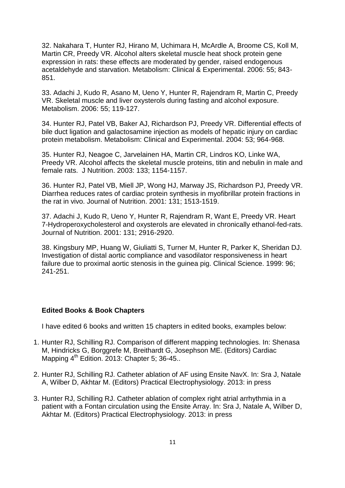32. Nakahara T, Hunter RJ, Hirano M, Uchimara H, McArdle A, Broome CS, Koll M, Martin CR, Preedy VR. Alcohol alters skeletal muscle heat shock protein gene expression in rats: these effects are moderated by gender, raised endogenous acetaldehyde and starvation. Metabolism: Clinical & Experimental. 2006: 55; 843- 851.

33. Adachi J, Kudo R, Asano M, Ueno Y, Hunter R, Rajendram R, Martin C, Preedy VR. Skeletal muscle and liver oxysterols during fasting and alcohol exposure. Metabolism. 2006: 55; 119-127.

34. Hunter RJ, Patel VB, Baker AJ, Richardson PJ, Preedy VR. Differential effects of bile duct ligation and galactosamine injection as models of hepatic injury on cardiac protein metabolism. Metabolism: Clinical and Experimental. 2004: 53; 964-968.

35. Hunter RJ, Neagoe C, Jarvelainen HA, Martin CR, Lindros KO, Linke WA, Preedy VR. Alcohol affects the skeletal muscle proteins, titin and nebulin in male and female rats. J Nutrition. 2003: 133; 1154-1157.

36. Hunter RJ, Patel VB, Miell JP, Wong HJ, Marway JS, Richardson PJ, Preedy VR. Diarrhea reduces rates of cardiac protein synthesis in myofibrillar protein fractions in the rat in vivo. Journal of Nutrition. 2001: 131; 1513-1519.

37. Adachi J, Kudo R, Ueno Y, Hunter R, Rajendram R, Want E, Preedy VR. Heart 7-Hydroperoxycholesterol and oxysterols are elevated in chronically ethanol-fed-rats. Journal of Nutrition. 2001: 131; 2916-2920.

38. Kingsbury MP, Huang W, Giuliatti S, Turner M, Hunter R, Parker K, Sheridan DJ. Investigation of distal aortic compliance and vasodilator responsiveness in heart failure due to proximal aortic stenosis in the guinea pig. Clinical Science. 1999: 96; 241-251.

#### **Edited Books & Book Chapters**

I have edited 6 books and written 15 chapters in edited books, examples below:

- 1. Hunter RJ, Schilling RJ. Comparison of different mapping technologies. In: Shenasa M, Hindricks G, Borggrefe M, Breithardt G, Josephson ME. (Editors) Cardiac Mapping  $4^{\text{th}}$  Edition. 2013: Chapter 5: 36-45..
- 2. Hunter RJ, Schilling RJ. Catheter ablation of AF using Ensite NavX. In: Sra J, Natale A, Wilber D, Akhtar M. (Editors) Practical Electrophysiology. 2013: in press
- 3. Hunter RJ, Schilling RJ. Catheter ablation of complex right atrial arrhythmia in a patient with a Fontan circulation using the Ensite Array. In: Sra J, Natale A, Wilber D, Akhtar M. (Editors) Practical Electrophysiology. 2013: in press